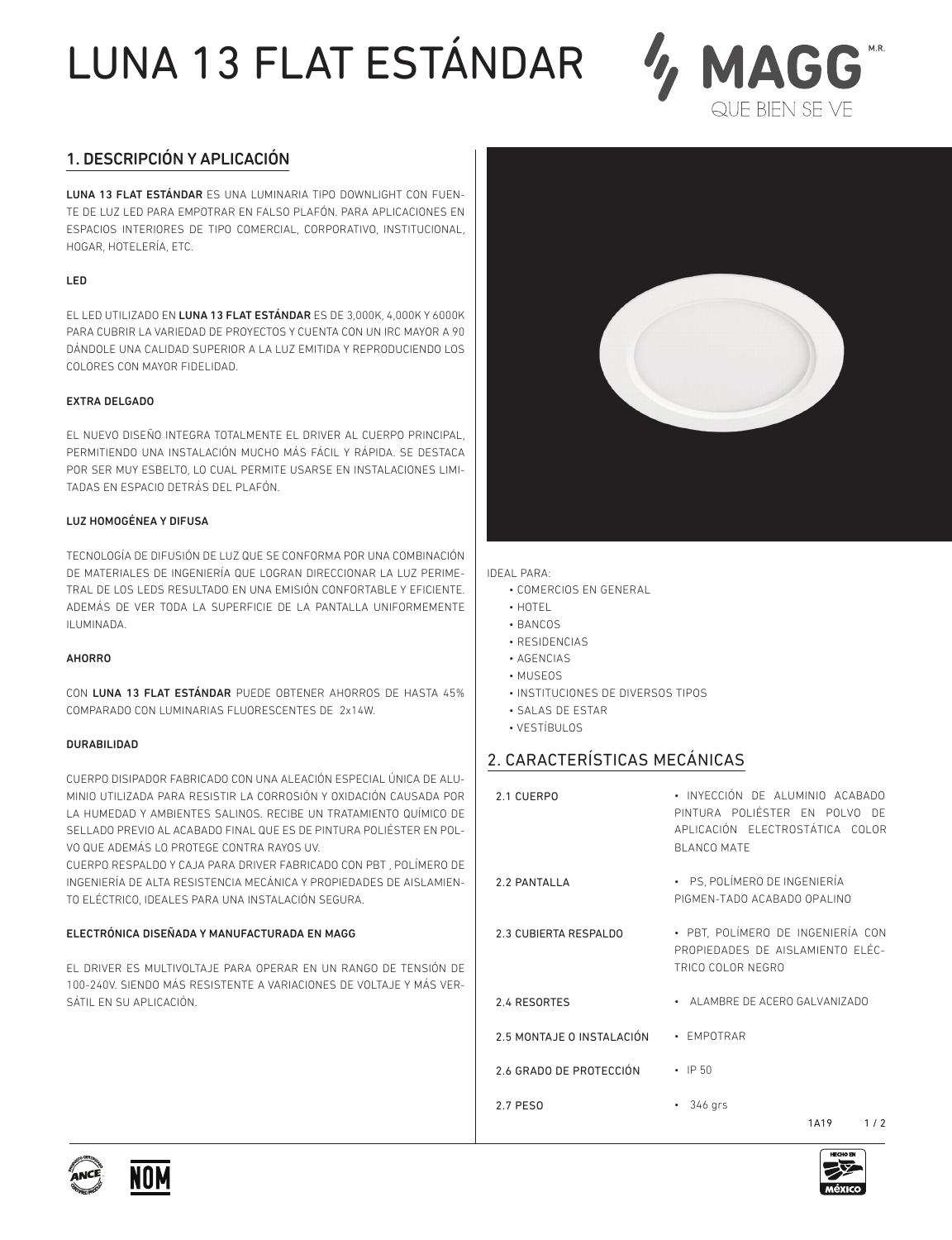## LUNA 13 FLAT ESTÁNDAR



### 1. DESCRIPCIÓN Y APLICACIÓN

LUNA 13 FLAT ESTÁNDAR ES UNA LUMINARIA TIPO DOWNLIGHT CON FUEN-TE DE LUZ LED PARA EMPOTRAR EN FALSO PLAFÓN. PARA APLICACIONES EN ESPACIOS INTERIORES DE TIPO COMERCIAL, CORPORATIVO, INSTITUCIONAL, HOGAR, HOTELERÍA, ETC.

### LED

EL LED UTILIZADO EN LUNA 13 FLAT ESTÁNDAR ES DE 3,000K, 4,000K Y 6000K PARA CUBRIR LA VARIEDAD DE PROYECTOS Y CUENTA CON UN IRC MAYOR A 90 DÁNDOLE UNA CALIDAD SUPERIOR A LA LUZ EMITIDA Y REPRODUCIENDO LOS COLORES CON MAYOR FIDELIDAD.

### EXTRA DELGADO

EL NUEVO DISEÑO INTEGRA TOTALMENTE EL DRIVER AL CUERPO PRINCIPAL, PERMITIENDO UNA INSTALACIÓN MUCHO MÁS FÁCIL Y RÁPIDA. SE DESTACA POR SER MUY ESBELTO, LO CUAL PERMITE USARSE EN INSTALACIONES LIMI-TADAS EN ESPACIO DETRÁS DEL PLAFÓN.

### LUZ HOMOGÉNEA Y DIFUSA

TECNOLOGÍA DE DIFUSIÓN DE LUZ QUE SE CONFORMA POR UNA COMBINACIÓN DE MATERIALES DE INGENIERÍA QUE LOGRAN DIRECCIONAR LA LUZ PERIME-TRAL DE LOS LEDS RESULTADO EN UNA EMISIÓN CONFORTABLE Y EFICIENTE. ADEMÁS DE VER TODA LA SUPERFICIE DE LA PANTALLA UNIFORMEMENTE ILUMINADA.

#### AHORRO

CON LUNA 13 FLAT ESTÁNDAR PUEDE OBTENER AHORROS DE HASTA 45% COMPARADO CON LUMINARIAS FLUORESCENTES DE 2x14W.

#### DURABILIDAD

CUERPO DISIPADOR FABRICADO CON UNA ALEACIÓN ESPECIAL ÚNICA DE ALU-MINIO UTILIZADA PARA RESISTIR LA CORROSIÓN Y OXIDACIÓN CAUSADA POR LA HUMEDAD Y AMBIENTES SALINOS. RECIBE UN TRATAMIENTO QUÍMICO DE SELLADO PREVIO AL ACABADO FINAL QUE ES DE PINTURA POLIÉSTER EN POL-VO QUE ADEMÁS LO PROTEGE CONTRA RAYOS UV.

CUERPO RESPALDO Y CAJA PARA DRIVER FABRICADO CON PBT , POLÍMERO DE INGENIERÍA DE ALTA RESISTENCIA MECÁNICA Y PROPIEDADES DE AISLAMIEN-TO ELÉCTRICO, IDEALES PARA UNA INSTALACIÓN SEGURA.

### ELECTRÓNICA DISEÑADA Y MANUFACTURADA EN MAGG

EL DRIVER ES MULTIVOLTAJE PARA OPERAR EN UN RANGO DE TENSIÓN DE 100-240V. SIENDO MÁS RESISTENTE A VARIACIONES DE VOLTAJE Y MÁS VER-SÁTIL EN SU APLICACIÓN.



IDEAL PARA:

- COMERCIOS EN GENERAL
- HOTEL
- BANCOS
- RESIDENCIAS
- AGENCIAS
- MUSEOS
- INSTITUCIONES DE DIVERSOS TIPOS
- SALAS DE ESTAR
- VESTÍBULOS

## 2. CARACTERÍSTICAS MECÁNICAS

| 2.1 CUERPO                 | • INYECCIÓN DE ALUMINIO ACABADO<br>PINTURA POLIÉSTER EN POLVO DE<br>APLICACIÓN ELECTROSTÁTICA COLOR<br><b>BLANCO MATE</b> |
|----------------------------|---------------------------------------------------------------------------------------------------------------------------|
| 2.2 PANTALLA               | • PS, POLÍMERO DE INGENIERÍA<br>PIGMEN-TADO ACABADO OPALINO                                                               |
| 2.3 CUBIERTA RESPALDO      | • PBT, POLÍMERO DE INGENIERÍA CON<br>PROPIEDADES DE AISLAMIENTO ELÉC-<br>TRICO COLOR NEGRO                                |
| 2.4 RESORTES               | • ALAMBRE DE ACERO GALVANIZADO                                                                                            |
| 2.5 MONTA JE O INSTALACIÓN | • FMPOTRAR                                                                                                                |
| 2.6 GRADO DE PROTECCIÓN    | $\cdot$ IP 50                                                                                                             |
| 2.7 PFS0                   | 346 grs<br>٠<br>1A19<br>1/2                                                                                               |